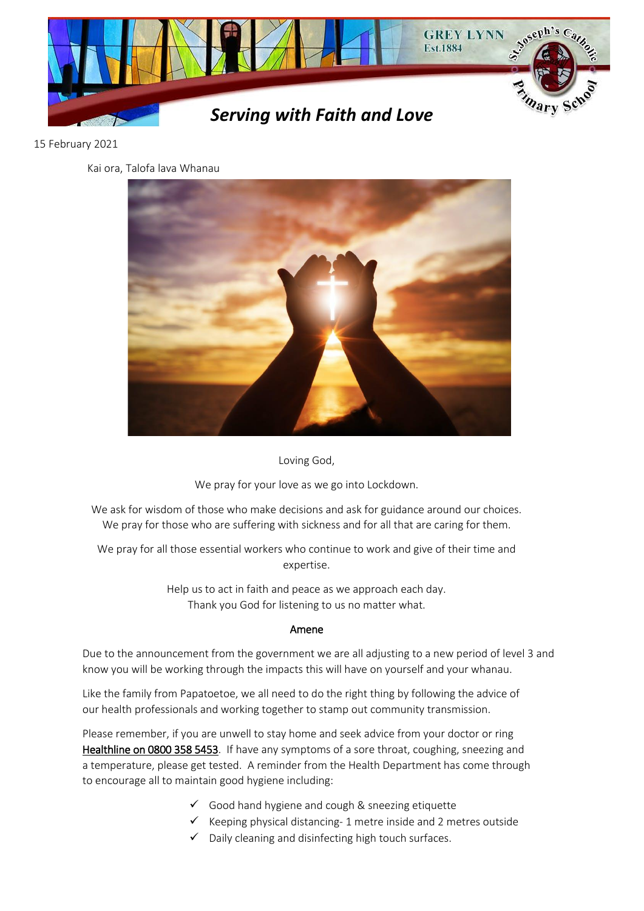

## 15 February 2021

Kai ora, Talofa lava Whanau



Loving God,

We pray for your love as we go into Lockdown.

We ask for wisdom of those who make decisions and ask for guidance around our choices. We pray for those who are suffering with sickness and for all that are caring for them.

We pray for all those essential workers who continue to work and give of their time and expertise.

> Help us to act in faith and peace as we approach each day. Thank you God for listening to us no matter what.

## Amene

Due to the announcement from the government we are all adjusting to a new period of level 3 and know you will be working through the impacts this will have on yourself and your whanau.

Like the family from Papatoetoe, we all need to do the right thing by following the advice of our health professionals and working together to stamp out community transmission.

Please remember, if you are unwell to stay home and seek advice from your doctor or ring Healthline on 0800 358 5453. If have any symptoms of a sore throat, coughing, sneezing and a temperature, please get tested. A reminder from the Health Department has come through to encourage all to maintain good hygiene including:

- $\checkmark$  Good hand hygiene and cough & sneezing etiquette
- $\checkmark$  Keeping physical distancing- 1 metre inside and 2 metres outside
- $\checkmark$  Daily cleaning and disinfecting high touch surfaces.